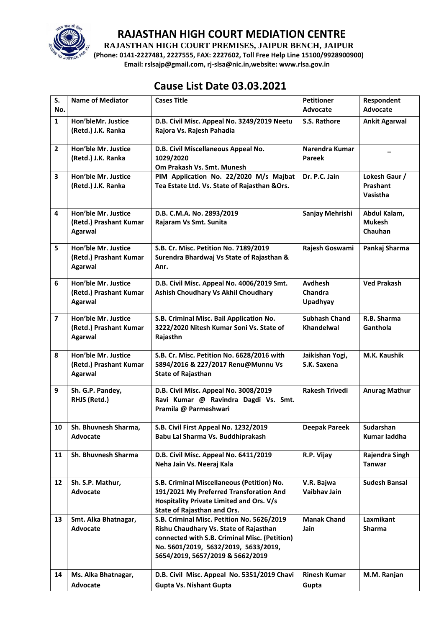

**RAJASTHAN HIGH COURT PREMISES, JAIPUR BENCH, JAIPUR**

**(Phone: 0141-2227481, 2227555, FAX: 2227602, Toll Free Help Line 15100/9928900900) Email: rslsajp@gmail.com, rj-slsa@nic.in,website: www.rlsa.gov.in**

# **Cause List Date 03.03.2021**

| S.<br>No.      | <b>Name of Mediator</b>                       | <b>Cases Title</b>                                                                 | <b>Petitioner</b><br>Advocate   | Respondent<br><b>Advocate</b> |
|----------------|-----------------------------------------------|------------------------------------------------------------------------------------|---------------------------------|-------------------------------|
| $\mathbf{1}$   | Hon'bleMr. Justice                            | D.B. Civil Misc. Appeal No. 3249/2019 Neetu                                        | S.S. Rathore                    | <b>Ankit Agarwal</b>          |
|                | (Retd.) J.K. Ranka                            | Rajora Vs. Rajesh Pahadia                                                          |                                 |                               |
| $\overline{2}$ | Hon'ble Mr. Justice<br>(Retd.) J.K. Ranka     | D.B. Civil Miscellaneous Appeal No.<br>1029/2020                                   | Narendra Kumar<br><b>Pareek</b> |                               |
|                |                                               | Om Prakash Vs. Smt. Munesh                                                         |                                 |                               |
| 3              | Hon'ble Mr. Justice                           | PIM Application No. 22/2020 M/s Majbat                                             | Dr. P.C. Jain                   | Lokesh Gaur /                 |
|                | (Retd.) J.K. Ranka                            | Tea Estate Ltd. Vs. State of Rajasthan & Ors.                                      |                                 | Prashant<br><b>Vasistha</b>   |
|                |                                               |                                                                                    |                                 |                               |
| 4              | Hon'ble Mr. Justice                           | D.B. C.M.A. No. 2893/2019                                                          | Sanjay Mehrishi                 | Abdul Kalam,                  |
|                | (Retd.) Prashant Kumar<br><b>Agarwal</b>      | Rajaram Vs Smt. Sunita                                                             |                                 | <b>Mukesh</b><br>Chauhan      |
|                |                                               |                                                                                    |                                 |                               |
| 5              | Hon'ble Mr. Justice                           | S.B. Cr. Misc. Petition No. 7189/2019<br>Surendra Bhardwaj Vs State of Rajasthan & | Rajesh Goswami                  | Pankaj Sharma                 |
|                | (Retd.) Prashant Kumar<br>Agarwal             | Anr.                                                                               |                                 |                               |
|                |                                               |                                                                                    |                                 |                               |
| 6              | Hon'ble Mr. Justice<br>(Retd.) Prashant Kumar | D.B. Civil Misc. Appeal No. 4006/2019 Smt.<br>Ashish Choudhary Vs Akhil Choudhary  | Avdhesh<br>Chandra              | <b>Ved Prakash</b>            |
|                | Agarwal                                       |                                                                                    | <b>Upadhyay</b>                 |                               |
| $\overline{7}$ | Hon'ble Mr. Justice                           | S.B. Criminal Misc. Bail Application No.                                           | <b>Subhash Chand</b>            | R.B. Sharma                   |
|                | (Retd.) Prashant Kumar                        | 3222/2020 Nitesh Kumar Soni Vs. State of                                           | <b>Khandelwal</b>               | Ganthola                      |
|                | <b>Agarwal</b>                                | Rajasthn                                                                           |                                 |                               |
| 8              | Hon'ble Mr. Justice                           | S.B. Cr. Misc. Petition No. 6628/2016 with                                         | Jaikishan Yogi,                 | M.K. Kaushik                  |
|                | (Retd.) Prashant Kumar                        | 5894/2016 & 227/2017 Renu@Munnu Vs                                                 | S.K. Saxena                     |                               |
|                | Agarwal                                       | <b>State of Rajasthan</b>                                                          |                                 |                               |
| 9              | Sh. G.P. Pandey,                              | D.B. Civil Misc. Appeal No. 3008/2019                                              | <b>Rakesh Trivedi</b>           | <b>Anurag Mathur</b>          |
|                | RHJS (Retd.)                                  | Ravi Kumar @ Ravindra Dagdi Vs. Smt.<br>Pramila @ Parmeshwari                      |                                 |                               |
|                |                                               |                                                                                    |                                 |                               |
| 10             | Sh. Bhuvnesh Sharma,                          | S.B. Civil First Appeal No. 1232/2019                                              | <b>Deepak Pareek</b>            | Sudarshan                     |
|                | Advocate                                      | Babu Lal Sharma Vs. Buddhiprakash                                                  |                                 | Kumar laddha                  |
| 11             | Sh. Bhuvnesh Sharma                           | D.B. Civil Misc. Appeal No. 6411/2019                                              | R.P. Vijay                      | Rajendra Singh                |
|                |                                               | Neha Jain Vs. Neeraj Kala                                                          |                                 | <b>Tanwar</b>                 |
| 12             | Sh. S.P. Mathur,                              | S.B. Criminal Miscellaneous (Petition) No.                                         | V.R. Bajwa                      | <b>Sudesh Bansal</b>          |
|                | Advocate                                      | 191/2021 My Preferred Transforation And                                            | Vaibhav Jain                    |                               |
|                |                                               | Hospitality Private Limited and Ors. V/s                                           |                                 |                               |
| 13             | Smt. Alka Bhatnagar,                          | State of Rajasthan and Ors.<br>S.B. Criminal Misc. Petition No. 5626/2019          | <b>Manak Chand</b>              | Laxmikant                     |
|                | Advocate                                      | Rishu Chaudhary Vs. State of Rajasthan                                             | Jain                            | Sharma                        |
|                |                                               | connected with S.B. Criminal Misc. (Petition)                                      |                                 |                               |
|                |                                               | No. 5601/2019, 5632/2019, 5633/2019,                                               |                                 |                               |
|                |                                               | 5654/2019, 5657/2019 & 5662/2019                                                   |                                 |                               |
| 14             | Ms. Alka Bhatnagar,                           | D.B. Civil Misc. Appeal No. 5351/2019 Chavi                                        | <b>Rinesh Kumar</b>             | M.M. Ranjan                   |
|                | Advocate                                      | <b>Gupta Vs. Nishant Gupta</b>                                                     | Gupta                           |                               |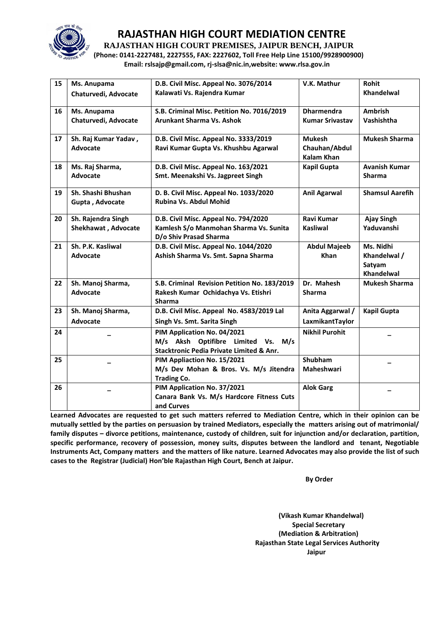

**RAJASTHAN HIGH COURT PREMISES, JAIPUR BENCH, JAIPUR**

**(Phone: 0141-2227481, 2227555, FAX: 2227602, Toll Free Help Line 15100/9928900900) Email: rslsajp@gmail.com, rj-slsa@nic.in,website: www.rlsa.gov.in**

| 15 | Ms. Anupama          | D.B. Civil Misc. Appeal No. 3076/2014               | V.K. Mathur            | <b>Rohit</b>           |
|----|----------------------|-----------------------------------------------------|------------------------|------------------------|
|    | Chaturvedi, Advocate | Kalawati Vs. Rajendra Kumar                         |                        | Khandelwal             |
|    |                      |                                                     |                        |                        |
| 16 | Ms. Anupama          | S.B. Criminal Misc. Petition No. 7016/2019          | <b>Dharmendra</b>      | Ambrish                |
|    | Chaturvedi, Advocate | Arunkant Sharma Vs. Ashok                           | <b>Kumar Srivastav</b> | Vashishtha             |
|    |                      |                                                     |                        |                        |
| 17 | Sh. Raj Kumar Yadav, | D.B. Civil Misc. Appeal No. 3333/2019               | <b>Mukesh</b>          | <b>Mukesh Sharma</b>   |
|    | Advocate             | Ravi Kumar Gupta Vs. Khushbu Agarwal                | Chauhan/Abdul          |                        |
|    |                      |                                                     | <b>Kalam Khan</b>      |                        |
| 18 | Ms. Raj Sharma,      | D.B. Civil Misc. Appeal No. 163/2021                | <b>Kapil Gupta</b>     | <b>Avanish Kumar</b>   |
|    | Advocate             | Smt. Meenakshi Vs. Jagpreet Singh                   |                        | <b>Sharma</b>          |
|    |                      |                                                     |                        |                        |
| 19 | Sh. Shashi Bhushan   | D. B. Civil Misc. Appeal No. 1033/2020              | <b>Anil Agarwal</b>    | <b>Shamsul Aarefih</b> |
|    | Gupta, Advocate      | Rubina Vs. Abdul Mohid                              |                        |                        |
|    |                      |                                                     |                        |                        |
| 20 | Sh. Rajendra Singh   | D.B. Civil Misc. Appeal No. 794/2020                | Ravi Kumar             | <b>Ajay Singh</b>      |
|    | Shekhawat, Advocate  | Kamlesh S/o Manmohan Sharma Vs. Sunita              | <b>Kasliwal</b>        | Yaduvanshi             |
|    |                      | D/o Shiv Prasad Sharma                              |                        |                        |
| 21 | Sh. P.K. Kasliwal    | D.B. Civil Misc. Appeal No. 1044/2020               | <b>Abdul Majeeb</b>    | Ms. Nidhi              |
|    | <b>Advocate</b>      | Ashish Sharma Vs. Smt. Sapna Sharma                 | Khan                   | Khandelwal /           |
|    |                      |                                                     |                        | Satyam                 |
|    |                      |                                                     |                        | Khandelwal             |
| 22 | Sh. Manoj Sharma,    | S.B. Criminal Revision Petition No. 183/2019        | Dr. Mahesh             | <b>Mukesh Sharma</b>   |
|    | <b>Advocate</b>      | Rakesh Kumar Ochidachya Vs. Etishri                 | <b>Sharma</b>          |                        |
|    |                      | <b>Sharma</b>                                       |                        |                        |
| 23 | Sh. Manoj Sharma,    | D.B. Civil Misc. Appeal No. 4583/2019 Lal           | Anita Aggarwal /       | <b>Kapil Gupta</b>     |
|    | Advocate             | Singh Vs. Smt. Sarita Singh                         | LaxmikantTaylor        |                        |
| 24 |                      | PIM Application No. 04/2021                         | <b>Nikhil Purohit</b>  |                        |
|    |                      | M/s Aksh Optifibre Limited Vs.<br>M/s               |                        |                        |
|    |                      | <b>Stacktronic Pedia Private Limited &amp; Anr.</b> |                        |                        |
| 25 |                      | PIM Appliaction No. 15/2021                         | <b>Shubham</b>         |                        |
|    |                      | M/s Dev Mohan & Bros. Vs. M/s Jitendra              | Maheshwari             |                        |
|    |                      | <b>Trading Co.</b>                                  |                        |                        |
| 26 |                      | PIM Application No. 37/2021                         | <b>Alok Garg</b>       |                        |
|    |                      | Canara Bank Vs. M/s Hardcore Fitness Cuts           |                        |                        |
|    |                      | and Curves                                          |                        |                        |

**Learned Advocates are requested to get such matters referred to Mediation Centre, which in their opinion can be mutually settled by the parties on persuasion by trained Mediators, especially the matters arising out of matrimonial/ family disputes – divorce petitions, maintenance, custody of children, suit for injunction and/or declaration, partition, specific performance, recovery of possession, money suits, disputes between the landlord and tenant, Negotiable Instruments Act, Company matters and the matters of like nature. Learned Advocates may also provide the list of such cases to the Registrar (Judicial) Hon'ble Rajasthan High Court, Bench at Jaipur.** 

**By Order** 

**(Vikash Kumar Khandelwal) Special Secretary (Mediation & Arbitration) Rajasthan State Legal Services Authority Jaipur**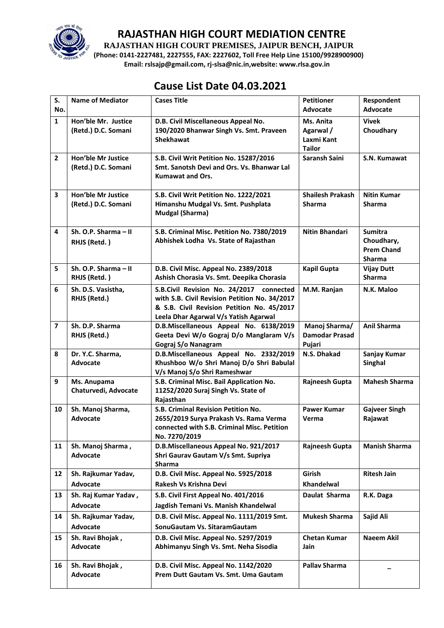

**RAJASTHAN HIGH COURT PREMISES, JAIPUR BENCH, JAIPUR**

**(Phone: 0141-2227481, 2227555, FAX: 2227602, Toll Free Help Line 15100/9928900900) Email: rslsajp@gmail.com, rj-slsa@nic.in,website: www.rlsa.gov.in**

## **Cause List Date 04.03.2021**

| S.                      | <b>Name of Mediator</b>              | <b>Cases Title</b>                                                                          | <b>Petitioner</b>       | Respondent           |
|-------------------------|--------------------------------------|---------------------------------------------------------------------------------------------|-------------------------|----------------------|
| No.                     |                                      |                                                                                             | <b>Advocate</b>         | Advocate             |
| $\mathbf{1}$            | Hon'ble Mr. Justice                  | D.B. Civil Miscellaneous Appeal No.                                                         | Ms. Anita               | <b>Vivek</b>         |
|                         | (Retd.) D.C. Somani                  | 190/2020 Bhanwar Singh Vs. Smt. Praveen<br><b>Shekhawat</b>                                 | Agarwal /<br>Laxmi Kant | Choudhary            |
|                         |                                      |                                                                                             | <b>Tailor</b>           |                      |
| $\overline{2}$          | <b>Hon'ble Mr Justice</b>            | S.B. Civil Writ Petition No. 15287/2016                                                     | <b>Saransh Saini</b>    | S.N. Kumawat         |
|                         | (Retd.) D.C. Somani                  | Smt. Sanotsh Devi and Ors. Vs. Bhanwar Lal                                                  |                         |                      |
|                         |                                      | <b>Kumawat and Ors.</b>                                                                     |                         |                      |
| 3                       | <b>Hon'ble Mr Justice</b>            | S.B. Civil Writ Petition No. 1222/2021                                                      | <b>Shailesh Prakash</b> | <b>Nitin Kumar</b>   |
|                         | (Retd.) D.C. Somani                  | Himanshu Mudgal Vs. Smt. Pushplata                                                          | <b>Sharma</b>           | <b>Sharma</b>        |
|                         |                                      | <b>Mudgal (Sharma)</b>                                                                      |                         |                      |
| 4                       |                                      | S.B. Criminal Misc. Petition No. 7380/2019                                                  | <b>Nitin Bhandari</b>   | <b>Sumitra</b>       |
|                         | Sh. O.P. Sharma - II<br>RHJS (Retd.) | Abhishek Lodha Vs. State of Rajasthan                                                       |                         | Choudhary,           |
|                         |                                      |                                                                                             |                         | <b>Prem Chand</b>    |
|                         |                                      |                                                                                             |                         | <b>Sharma</b>        |
| 5                       | Sh. O.P. Sharma - II                 | D.B. Civil Misc. Appeal No. 2389/2018                                                       | <b>Kapil Gupta</b>      | <b>Vijay Dutt</b>    |
|                         | RHJS (Retd.)                         | Ashish Chorasia Vs. Smt. Deepika Chorasia                                                   |                         | Sharma               |
| 6                       | Sh. D.S. Vasistha,                   | S.B.Civil Revision No. 24/2017 connected                                                    | M.M. Ranjan             | N.K. Maloo           |
|                         | RHJS (Retd.)                         | with S.B. Civil Revision Petition No. 34/2017<br>& S.B. Civil Revision Petition No. 45/2017 |                         |                      |
|                         |                                      | Leela Dhar Agarwal V/s Yatish Agarwal                                                       |                         |                      |
| $\overline{\mathbf{z}}$ | Sh. D.P. Sharma                      | D.B.Miscellaneous Appeal No. 6138/2019                                                      | Manoj Sharma/           | <b>Anil Sharma</b>   |
|                         | RHJS (Retd.)                         | Geeta Devi W/o Gograj D/o Manglaram V/s                                                     | <b>Damodar Prasad</b>   |                      |
|                         |                                      | Gograj S/o Nanagram                                                                         | Pujari                  |                      |
| 8                       | Dr. Y.C. Sharma,                     | D.B.Miscellaneous Appeal No. 2332/2019                                                      | N.S. Dhakad             | Sanjay Kumar         |
|                         | <b>Advocate</b>                      | Khushboo W/o Shri Manoj D/o Shri Babulal<br>V/s Manoj S/o Shri Rameshwar                    |                         | <b>Singhal</b>       |
| 9                       | Ms. Anupama                          | S.B. Criminal Misc. Bail Application No.                                                    | Rajneesh Gupta          | <b>Mahesh Sharma</b> |
|                         | Chaturvedi, Advocate                 | 11252/2020 Suraj Singh Vs. State of                                                         |                         |                      |
|                         |                                      | Rajasthan                                                                                   |                         |                      |
| 10                      | Sh. Manoj Sharma,                    | S.B. Criminal Revision Petition No.                                                         | <b>Pawer Kumar</b>      | <b>Gajveer Singh</b> |
|                         | <b>Advocate</b>                      | 2655/2019 Surya Prakash Vs. Rama Verma                                                      | Verma                   | Rajawat              |
|                         |                                      | connected with S.B. Criminal Misc. Petition<br>No. 7270/2019                                |                         |                      |
| 11                      | Sh. Manoj Sharma,                    | D.B.Miscellaneous Appeal No. 921/2017                                                       | Rajneesh Gupta          | <b>Manish Sharma</b> |
|                         | Advocate                             | Shri Gaurav Gautam V/s Smt. Supriya                                                         |                         |                      |
|                         |                                      | <b>Sharma</b>                                                                               |                         |                      |
| 12                      | Sh. Rajkumar Yadav,                  | D.B. Civil Misc. Appeal No. 5925/2018                                                       | Girish                  | <b>Ritesh Jain</b>   |
|                         | Advocate                             | Rakesh Vs Krishna Devi                                                                      | <b>Khandelwal</b>       |                      |
| 13                      | Sh. Raj Kumar Yadav,                 | S.B. Civil First Appeal No. 401/2016                                                        | Daulat Sharma           | R.K. Daga            |
|                         | <b>Advocate</b>                      | Jagdish Temani Vs. Manish Khandelwal                                                        |                         |                      |
| 14                      | Sh. Rajkumar Yadav,                  | D.B. Civil Misc. Appeal No. 1111/2019 Smt.                                                  | <b>Mukesh Sharma</b>    | Sajid Ali            |
|                         | Advocate                             | SonuGautam Vs. SitaramGautam                                                                |                         |                      |
| 15                      | Sh. Ravi Bhojak,                     | D.B. Civil Misc. Appeal No. 5297/2019                                                       | <b>Chetan Kumar</b>     | Naeem Akil           |
|                         | Advocate                             | Abhimanyu Singh Vs. Smt. Neha Sisodia                                                       | Jain                    |                      |
| 16                      | Sh. Ravi Bhojak,                     | D.B. Civil Misc. Appeal No. 1142/2020                                                       | <b>Pallav Sharma</b>    |                      |
|                         | Advocate                             | Prem Dutt Gautam Vs. Smt. Uma Gautam                                                        |                         |                      |
|                         |                                      |                                                                                             |                         |                      |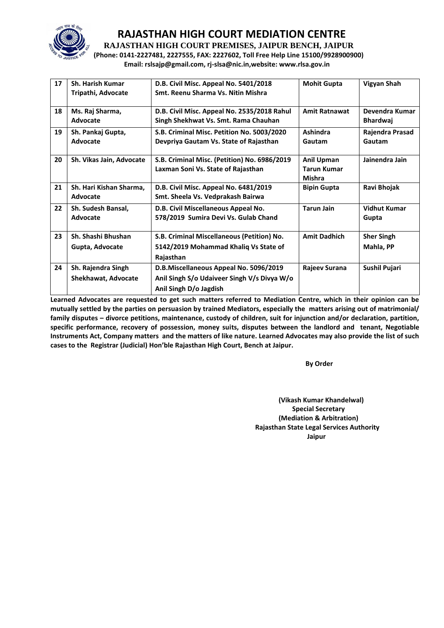

**RAJASTHAN HIGH COURT PREMISES, JAIPUR BENCH, JAIPUR**

**(Phone: 0141-2227481, 2227555, FAX: 2227602, Toll Free Help Line 15100/9928900900) Email: rslsajp@gmail.com, rj-slsa@nic.in,website: www.rlsa.gov.in**

| 17 | <b>Sh. Harish Kumar</b><br>Tripathi, Advocate    | D.B. Civil Misc. Appeal No. 5401/2018<br>Smt. Reenu Sharma Vs. Nitin Mishra                                     | <b>Mohit Gupta</b>                                | Vigyan Shah                       |
|----|--------------------------------------------------|-----------------------------------------------------------------------------------------------------------------|---------------------------------------------------|-----------------------------------|
| 18 | Ms. Raj Sharma,<br>Advocate                      | D.B. Civil Misc. Appeal No. 2535/2018 Rahul<br>Singh Shekhwat Vs. Smt. Rama Chauhan                             | <b>Amit Ratnawat</b>                              | Devendra Kumar<br><b>Bhardwaj</b> |
| 19 | Sh. Pankaj Gupta,<br>Advocate                    | S.B. Criminal Misc. Petition No. 5003/2020<br>Devpriya Gautam Vs. State of Rajasthan                            | Ashindra<br>Gautam                                | Rajendra Prasad<br>Gautam         |
| 20 | Sh. Vikas Jain, Advocate                         | S.B. Criminal Misc. (Petition) No. 6986/2019<br>Laxman Soni Vs. State of Rajasthan                              | Anil Upman<br><b>Tarun Kumar</b><br><b>Mishra</b> | Jainendra Jain                    |
| 21 | Sh. Hari Kishan Sharma,<br>Advocate              | D.B. Civil Misc. Appeal No. 6481/2019<br>Smt. Sheela Vs. Vedprakash Bairwa                                      | <b>Bipin Gupta</b>                                | Ravi Bhojak                       |
| 22 | Sh. Sudesh Bansal,<br>Advocate                   | D.B. Civil Miscellaneous Appeal No.<br>578/2019 Sumira Devi Vs. Gulab Chand                                     | <b>Tarun Jain</b>                                 | <b>Vidhut Kumar</b><br>Gupta      |
| 23 | Sh. Shashi Bhushan<br>Gupta, Advocate            | S.B. Criminal Miscellaneous (Petition) No.<br>5142/2019 Mohammad Khaliq Vs State of<br>Rajasthan                | <b>Amit Dadhich</b>                               | <b>Sher Singh</b><br>Mahla, PP    |
| 24 | Sh. Rajendra Singh<br><b>Shekhawat, Advocate</b> | D.B.Miscellaneous Appeal No. 5096/2019<br>Anil Singh S/o Udaiveer Singh V/s Divya W/o<br>Anil Singh D/o Jagdish | Rajeev Surana                                     | Sushil Pujari                     |

**Learned Advocates are requested to get such matters referred to Mediation Centre, which in their opinion can be mutually settled by the parties on persuasion by trained Mediators, especially the matters arising out of matrimonial/ family disputes – divorce petitions, maintenance, custody of children, suit for injunction and/or declaration, partition, specific performance, recovery of possession, money suits, disputes between the landlord and tenant, Negotiable Instruments Act, Company matters and the matters of like nature. Learned Advocates may also provide the list of such cases to the Registrar (Judicial) Hon'ble Rajasthan High Court, Bench at Jaipur.** 

**By Order** 

**(Vikash Kumar Khandelwal) Special Secretary (Mediation & Arbitration) Rajasthan State Legal Services Authority Jaipur**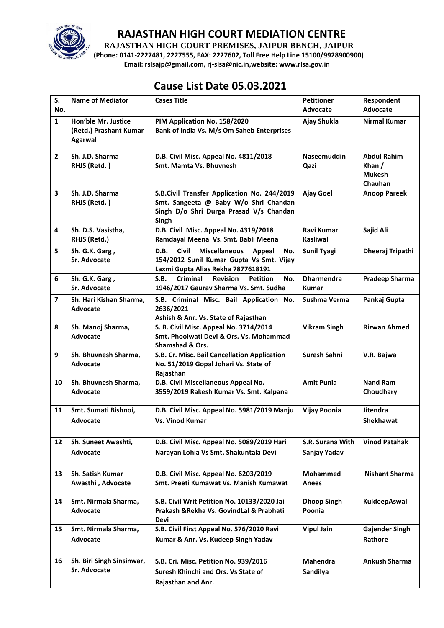

**RAJASTHAN HIGH COURT PREMISES, JAIPUR BENCH, JAIPUR**

**(Phone: 0141-2227481, 2227555, FAX: 2227602, Toll Free Help Line 15100/9928900900) Email: rslsajp@gmail.com, rj-slsa@nic.in,website: www.rlsa.gov.in**

# **Cause List Date 05.03.2021**

| S.                | <b>Name of Mediator</b>                                  | <b>Cases Title</b>                                                                                                                              | <b>Petitioner</b>                    | Respondent                                                 |
|-------------------|----------------------------------------------------------|-------------------------------------------------------------------------------------------------------------------------------------------------|--------------------------------------|------------------------------------------------------------|
| No.               |                                                          |                                                                                                                                                 | <b>Advocate</b>                      | Advocate                                                   |
| $\mathbf{1}$      | Hon'ble Mr. Justice<br>(Retd.) Prashant Kumar<br>Agarwal | PIM Application No. 158/2020<br>Bank of India Vs. M/s Om Saheb Enterprises                                                                      | Ajay Shukla                          | <b>Nirmal Kumar</b>                                        |
| $\overline{2}$    | Sh. J.D. Sharma<br>RHJS (Retd.)                          | D.B. Civil Misc. Appeal No. 4811/2018<br>Smt. Mamta Vs. Bhuvnesh                                                                                | <b>Naseemuddin</b><br>Qazi           | <b>Abdul Rahim</b><br>Khan $/$<br><b>Mukesh</b><br>Chauhan |
| 3                 | Sh. J.D. Sharma<br>RHJS (Retd.)                          | S.B.Civil Transfer Application No. 244/2019<br>Smt. Sangeeta @ Baby W/o Shri Chandan<br>Singh D/o Shri Durga Prasad V/s Chandan<br>Singh        | Ajay Goel                            | <b>Anoop Pareek</b>                                        |
| 4                 | Sh. D.S. Vasistha,<br>RHJS (Retd.)                       | D.B. Civil Misc. Appeal No. 4319/2018<br>Ramdayal Meena Vs. Smt. Babli Meena                                                                    | <b>Ravi Kumar</b><br><b>Kasliwal</b> | Sajid Ali                                                  |
| 5                 | Sh. G.K. Garg,<br>Sr. Advocate                           | <b>Civil</b><br><b>Miscellaneous</b><br>D.B.<br>Appeal<br>No.<br>154/2012 Sunil Kumar Gupta Vs Smt. Vijay<br>Laxmi Gupta Alias Rekha 7877618191 | <b>Sunil Tyagi</b>                   | Dheeraj Tripathi                                           |
| 6                 | Sh. G.K. Garg,<br>Sr. Advocate                           | <b>Criminal</b><br>S.B.<br><b>Revision</b><br><b>Petition</b><br>No.<br>1946/2017 Gaurav Sharma Vs. Smt. Sudha                                  | <b>Dharmendra</b><br><b>Kumar</b>    | <b>Pradeep Sharma</b>                                      |
| $\overline{7}$    | Sh. Hari Kishan Sharma,<br><b>Advocate</b>               | S.B. Criminal Misc. Bail Application No.<br>2636/2021<br>Ashish & Anr. Vs. State of Rajasthan                                                   | Sushma Verma                         | Pankaj Gupta                                               |
| 8                 | Sh. Manoj Sharma,<br><b>Advocate</b>                     | S. B. Civil Misc. Appeal No. 3714/2014<br>Smt. Phoolwati Devi & Ors. Vs. Mohammad<br><b>Shamshad &amp; Ors.</b>                                 | <b>Vikram Singh</b>                  | <b>Rizwan Ahmed</b>                                        |
| 9                 | Sh. Bhuvnesh Sharma,<br><b>Advocate</b>                  | S.B. Cr. Misc. Bail Cancellation Application<br>No. 51/2019 Gopal Johari Vs. State of<br>Rajasthan                                              | Suresh Sahni                         | V.R. Bajwa                                                 |
| 10                | Sh. Bhuvnesh Sharma,<br><b>Advocate</b>                  | D.B. Civil Miscellaneous Appeal No.<br>3559/2019 Rakesh Kumar Vs. Smt. Kalpana                                                                  | <b>Amit Punia</b>                    | <b>Nand Ram</b><br>Choudhary                               |
| 11                | Smt. Sumati Bishnoi,<br><b>Advocate</b>                  | D.B. Civil Misc. Appeal No. 5981/2019 Manju<br><b>Vs. Vinod Kumar</b>                                                                           | <b>Vijay Poonia</b>                  | <b>Jitendra</b><br><b>Shekhawat</b>                        |
| $12 \overline{ }$ | Sh. Suneet Awashti,<br><b>Advocate</b>                   | D.B. Civil Misc. Appeal No. 5089/2019 Hari<br>Narayan Lohia Vs Smt. Shakuntala Devi                                                             | S.R. Surana With<br>Sanjay Yadav     | <b>Vinod Patahak</b>                                       |
| 13                | <b>Sh. Satish Kumar</b><br>Awasthi, Advocate             | D.B. Civil Misc. Appeal No. 6203/2019<br>Smt. Preeti Kumawat Vs. Manish Kumawat                                                                 | <b>Mohammed</b><br>Anees             | <b>Nishant Sharma</b>                                      |
| 14                | Smt. Nirmala Sharma,<br><b>Advocate</b>                  | S.B. Civil Writ Petition No. 10133/2020 Jai<br>Prakash & Rekha Vs. Govind Lal & Prabhati<br>Devi                                                | <b>Dhoop Singh</b><br>Poonia         | KuldeepAswal                                               |
| 15                | Smt. Nirmala Sharma,<br><b>Advocate</b>                  | S.B. Civil First Appeal No. 576/2020 Ravi<br>Kumar & Anr. Vs. Kudeep Singh Yadav                                                                | <b>Vipul Jain</b>                    | <b>Gajender Singh</b><br>Rathore                           |
| 16                | Sh. Biri Singh Sinsinwar,<br><b>Sr. Advocate</b>         | S.B. Cri. Misc. Petition No. 939/2016<br>Suresh Khinchi and Ors. Vs State of<br>Rajasthan and Anr.                                              | <b>Mahendra</b><br>Sandilya          | <b>Ankush Sharma</b>                                       |